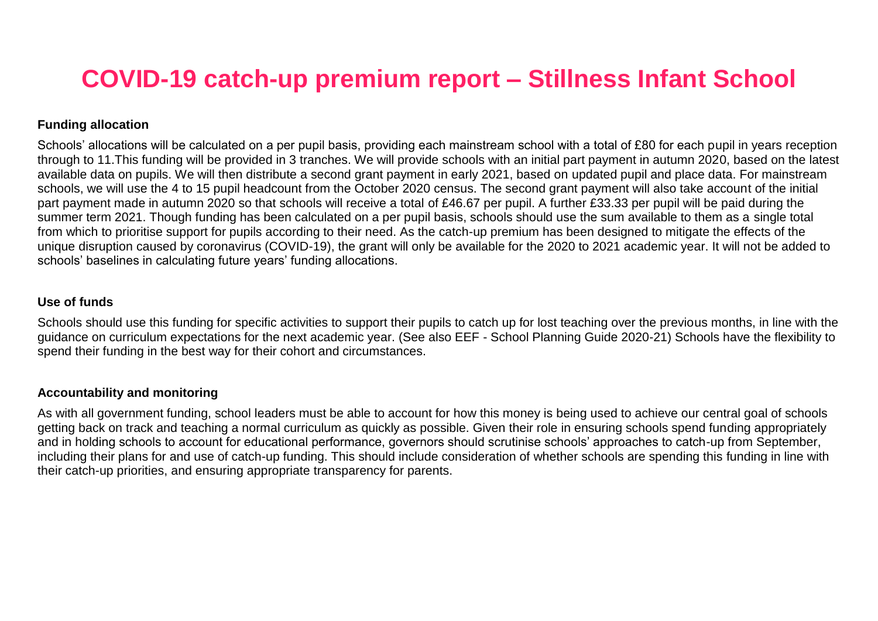# **COVID-19 catch-up premium report – Stillness Infant School**

#### **Funding allocation**

Schools' allocations will be calculated on a per pupil basis, providing each mainstream school with a total of £80 for each pupil in years reception through to 11.This funding will be provided in 3 tranches. We will provide schools with an initial part payment in autumn 2020, based on the latest available data on pupils. We will then distribute a second grant payment in early 2021, based on updated pupil and place data. For mainstream schools, we will use the 4 to 15 pupil headcount from the October 2020 census. The second grant payment will also take account of the initial part payment made in autumn 2020 so that schools will receive a total of £46.67 per pupil. A further £33.33 per pupil will be paid during the summer term 2021. Though funding has been calculated on a per pupil basis, schools should use the sum available to them as a single total from which to prioritise support for pupils according to their need. As the catch-up premium has been designed to mitigate the effects of the unique disruption caused by coronavirus (COVID-19), the grant will only be available for the 2020 to 2021 academic year. It will not be added to schools' baselines in calculating future years' funding allocations.

#### **Use of funds**

Schools should use this funding for specific activities to support their pupils to catch up for lost teaching over the previous months, in line with the guidance on curriculum expectations for the next academic year. (See also EEF - School Planning Guide 2020-21) Schools have the flexibility to spend their funding in the best way for their cohort and circumstances.

#### **Accountability and monitoring**

As with all government funding, school leaders must be able to account for how this money is being used to achieve our central goal of schools getting back on track and teaching a normal curriculum as quickly as possible. Given their role in ensuring schools spend funding appropriately and in holding schools to account for educational performance, governors should scrutinise schools' approaches to catch-up from September, including their plans for and use of catch-up funding. This should include consideration of whether schools are spending this funding in line with their catch-up priorities, and ensuring appropriate transparency for parents.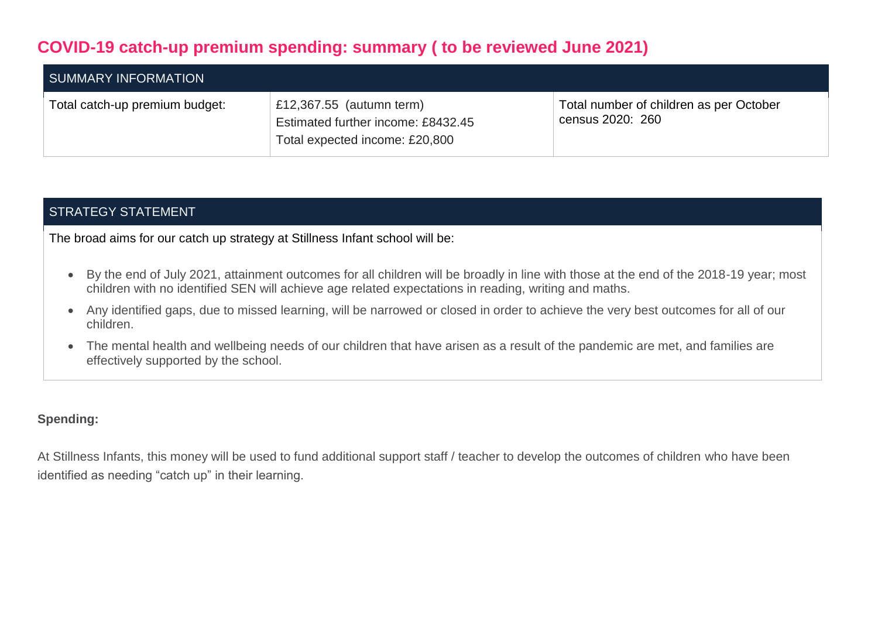# **COVID-19 catch-up premium spending: summary ( to be reviewed June 2021)**

| SUMMARY INFORMATION            |                                                                                                  |                                                             |
|--------------------------------|--------------------------------------------------------------------------------------------------|-------------------------------------------------------------|
| Total catch-up premium budget: | £12,367.55 (autumn term)<br>Estimated further income: £8432.45<br>Total expected income: £20,800 | Total number of children as per October<br>census 2020: 260 |

## STRATEGY STATEMENT

The broad aims for our catch up strategy at Stillness Infant school will be:

- By the end of July 2021, attainment outcomes for all children will be broadly in line with those at the end of the 2018-19 year; most children with no identified SEN will achieve age related expectations in reading, writing and maths.
- Any identified gaps, due to missed learning, will be narrowed or closed in order to achieve the very best outcomes for all of our children.
- The mental health and wellbeing needs of our children that have arisen as a result of the pandemic are met, and families are effectively supported by the school.

#### **Spending:**

At Stillness Infants, this money will be used to fund additional support staff / teacher to develop the outcomes of children who have been identified as needing "catch up" in their learning.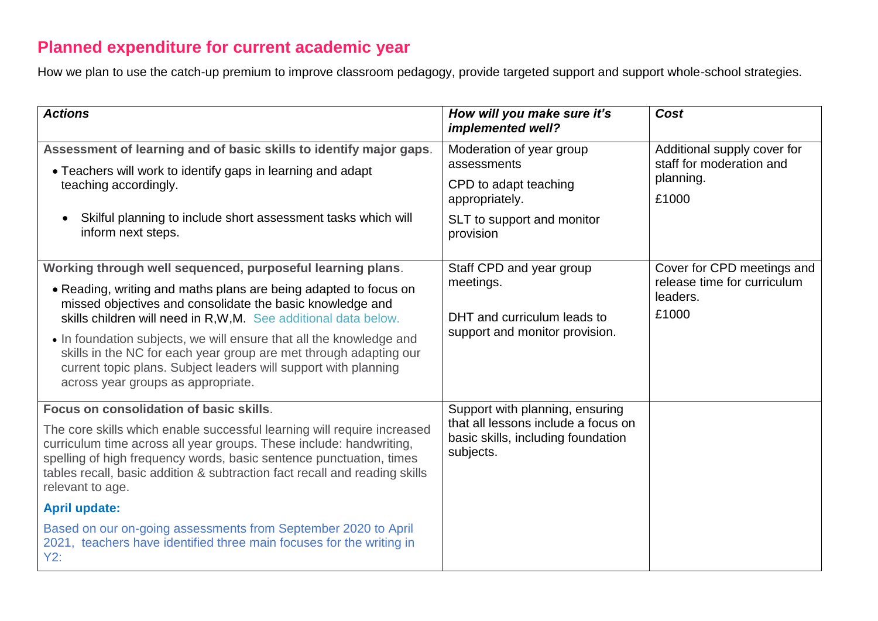# **Planned expenditure for current academic year**

How we plan to use the catch-up premium to improve classroom pedagogy, provide targeted support and support whole-school strategies.

| <b>Actions</b>                                                                                                                                                                                                                                                                                                                                                                                                                                                                                                                              | How will you make sure it's<br>implemented well?                                                                          | Cost                                                                           |
|---------------------------------------------------------------------------------------------------------------------------------------------------------------------------------------------------------------------------------------------------------------------------------------------------------------------------------------------------------------------------------------------------------------------------------------------------------------------------------------------------------------------------------------------|---------------------------------------------------------------------------------------------------------------------------|--------------------------------------------------------------------------------|
| Assessment of learning and of basic skills to identify major gaps.<br>• Teachers will work to identify gaps in learning and adapt<br>teaching accordingly.                                                                                                                                                                                                                                                                                                                                                                                  | Moderation of year group<br>assessments<br>CPD to adapt teaching<br>appropriately.                                        | Additional supply cover for<br>staff for moderation and<br>planning.<br>£1000  |
| Skilful planning to include short assessment tasks which will<br>inform next steps.                                                                                                                                                                                                                                                                                                                                                                                                                                                         | SLT to support and monitor<br>provision                                                                                   |                                                                                |
| Working through well sequenced, purposeful learning plans.<br>• Reading, writing and maths plans are being adapted to focus on<br>missed objectives and consolidate the basic knowledge and<br>skills children will need in R, W, M. See additional data below.<br>• In foundation subjects, we will ensure that all the knowledge and<br>skills in the NC for each year group are met through adapting our<br>current topic plans. Subject leaders will support with planning<br>across year groups as appropriate.                        | Staff CPD and year group<br>meetings.<br>DHT and curriculum leads to<br>support and monitor provision.                    | Cover for CPD meetings and<br>release time for curriculum<br>leaders.<br>£1000 |
| Focus on consolidation of basic skills.<br>The core skills which enable successful learning will require increased<br>curriculum time across all year groups. These include: handwriting,<br>spelling of high frequency words, basic sentence punctuation, times<br>tables recall, basic addition & subtraction fact recall and reading skills<br>relevant to age.<br><b>April update:</b><br>Based on our on-going assessments from September 2020 to April<br>2021, teachers have identified three main focuses for the writing in<br>Y2: | Support with planning, ensuring<br>that all lessons include a focus on<br>basic skills, including foundation<br>subjects. |                                                                                |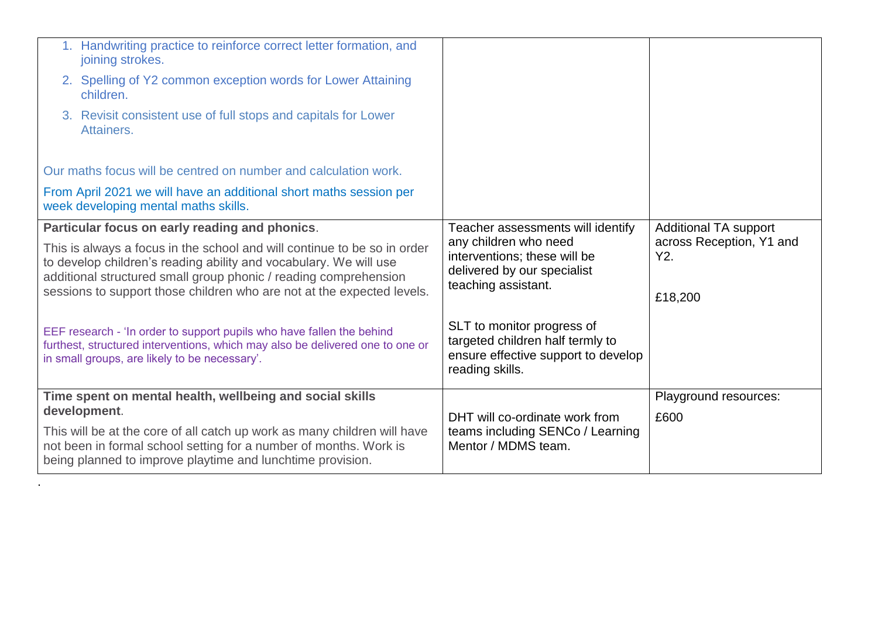|                                                                                                                                                                                                                                                                                             | 1. Handwriting practice to reinforce correct letter formation, and<br>joining strokes.                                                                                                                      |                                                                                                                          |                                            |
|---------------------------------------------------------------------------------------------------------------------------------------------------------------------------------------------------------------------------------------------------------------------------------------------|-------------------------------------------------------------------------------------------------------------------------------------------------------------------------------------------------------------|--------------------------------------------------------------------------------------------------------------------------|--------------------------------------------|
|                                                                                                                                                                                                                                                                                             | 2. Spelling of Y2 common exception words for Lower Attaining<br>children.                                                                                                                                   |                                                                                                                          |                                            |
|                                                                                                                                                                                                                                                                                             | 3. Revisit consistent use of full stops and capitals for Lower<br>Attainers.                                                                                                                                |                                                                                                                          |                                            |
|                                                                                                                                                                                                                                                                                             | Our maths focus will be centred on number and calculation work.                                                                                                                                             |                                                                                                                          |                                            |
|                                                                                                                                                                                                                                                                                             | From April 2021 we will have an additional short maths session per<br>week developing mental maths skills.                                                                                                  |                                                                                                                          |                                            |
|                                                                                                                                                                                                                                                                                             | Particular focus on early reading and phonics.                                                                                                                                                              | Teacher assessments will identify                                                                                        | <b>Additional TA support</b>               |
| This is always a focus in the school and will continue to be so in order<br>to develop children's reading ability and vocabulary. We will use<br>additional structured small group phonic / reading comprehension<br>sessions to support those children who are not at the expected levels. |                                                                                                                                                                                                             | any children who need<br>interventions; these will be<br>delivered by our specialist<br>teaching assistant.              | across Reception, Y1 and<br>Y2.<br>£18,200 |
|                                                                                                                                                                                                                                                                                             | EEF research - 'In order to support pupils who have fallen the behind<br>furthest, structured interventions, which may also be delivered one to one or<br>in small groups, are likely to be necessary'.     | SLT to monitor progress of<br>targeted children half termly to<br>ensure effective support to develop<br>reading skills. |                                            |
|                                                                                                                                                                                                                                                                                             | Time spent on mental health, wellbeing and social skills<br>development.                                                                                                                                    |                                                                                                                          | Playground resources:                      |
|                                                                                                                                                                                                                                                                                             |                                                                                                                                                                                                             | DHT will co-ordinate work from                                                                                           | £600                                       |
|                                                                                                                                                                                                                                                                                             | This will be at the core of all catch up work as many children will have<br>not been in formal school setting for a number of months. Work is<br>being planned to improve playtime and lunchtime provision. | teams including SENCo / Learning<br>Mentor / MDMS team.                                                                  |                                            |

.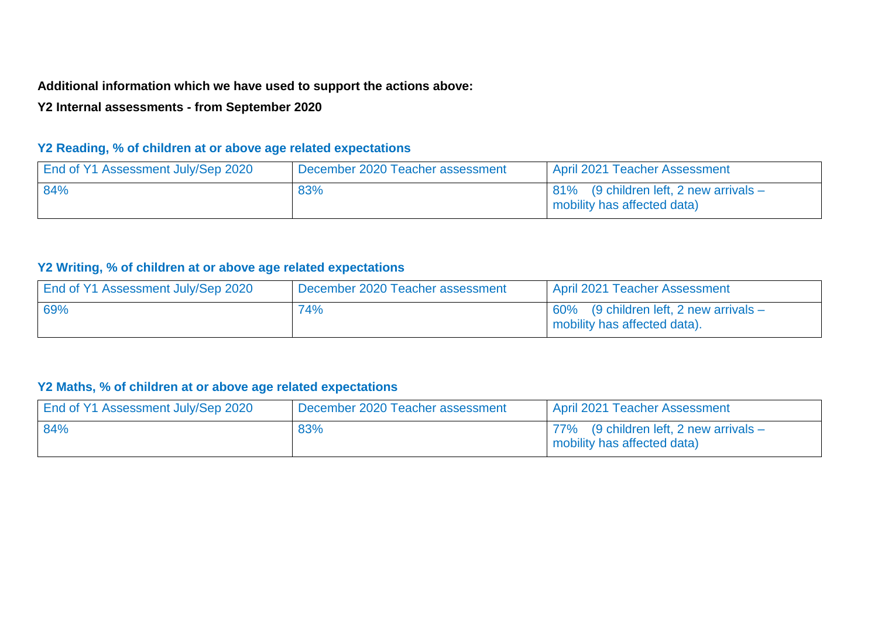## **Additional information which we have used to support the actions above:**

# **Y2 Internal assessments - from September 2020**

# **Y2 Reading, % of children at or above age related expectations**

| End of Y1 Assessment July/Sep 2020 | December 2020 Teacher assessment | April 2021 Teacher Assessment                                         |
|------------------------------------|----------------------------------|-----------------------------------------------------------------------|
| 84%                                | 83%                              | 81% (9 children left, 2 new arrivals –<br>mobility has affected data) |

#### **Y2 Writing, % of children at or above age related expectations**

| End of Y1 Assessment July/Sep 2020 | December 2020 Teacher assessment | April 2021 Teacher Assessment                                             |
|------------------------------------|----------------------------------|---------------------------------------------------------------------------|
| 69%                                | 74%                              | $60\%$ (9 children left, 2 new arrivals –<br>mobility has affected data). |

# **Y2 Maths, % of children at or above age related expectations**

| End of Y1 Assessment July/Sep 2020 | December 2020 Teacher assessment | <b>April 2021 Teacher Assessment</b>                                       |
|------------------------------------|----------------------------------|----------------------------------------------------------------------------|
| 84%                                | 83%                              | $77\%$ (9 children left, 2 new arrivals $-$<br>mobility has affected data) |